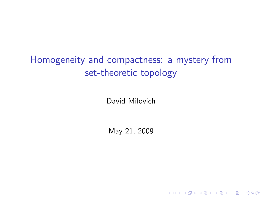# Homogeneity and compactness: a mystery from set-theoretic topology

David Milovich

May 21, 2009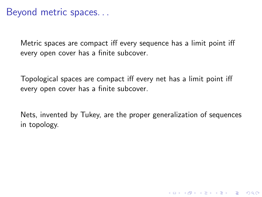### Beyond metric spaces. . .

Metric spaces are compact iff every sequence has a limit point iff every open cover has a finite subcover.

Topological spaces are compact iff every net has a limit point iff every open cover has a finite subcover.

Nets, invented by Tukey, are the proper generalization of sequences in topology.

**KORK ERKER ADAM ADA**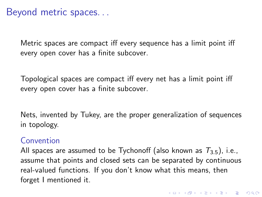### Beyond metric spaces. . .

Metric spaces are compact iff every sequence has a limit point iff every open cover has a finite subcover.

Topological spaces are compact iff every net has a limit point iff every open cover has a finite subcover.

Nets, invented by Tukey, are the proper generalization of sequences in topology.

#### **Convention**

All spaces are assumed to be Tychonoff (also known as  $T_{3.5}$ ), i.e., assume that points and closed sets can be separated by continuous real-valued functions. If you don't know what this means, then forget I mentioned it.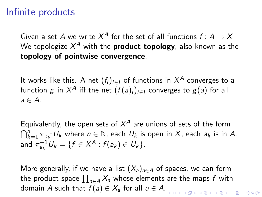### Infinite products

Given a set A we write  $X^A$  for the set of all functions  $f\colon A\to X.$ We topologize  $\mathcal{X}^A$  with the  $\boldsymbol{p}$ roduct to $\boldsymbol{p}$ ology, also known as the topology of pointwise convergence.

It works like this. A net  $(f_i)_{i\in I}$  of functions in  $X^A$  converges to a function  $g$  in  $X^A$  iff the net  $(f(a)_i)_{i\in I}$  converges to  $g(a)$  for all  $a \in A$ .

Equivalently, the open sets of  $X^A$  are unions of sets of the form  $\bigcap_{k=1}^n \pi_{a_k}^{-1}U_k$  where  $n \in \mathbb{N}$ , each  $U_k$  is open in  $X$ , each  $a_k$  is in  $A$ , and  $\pi_{a_k}^{-1}U_k = \{f \in X^A : f(a_k) \in U_k\}.$ 

More generally, if we have a list  $(X_a)_{a\in A}$  of spaces, we can form the product space  $\prod_{a\in A} X_a$  whose elements are the maps  $f$  with domain A such that  $f(a) \in X_a$  for all  $a \in A$ .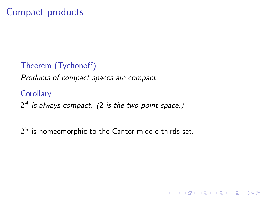### Theorem (Tychonoff)

Products of compact spaces are compact.

**Corollary**  $2^A$  is always compact. (2 is the two-point space.)

 $2^{\mathbb{N}}$  is homeomorphic to the Cantor middle-thirds set.

K ロ ▶ K @ ▶ K 할 ▶ K 할 ▶ 이 할 → 9 Q @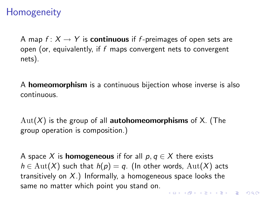## **Homogeneity**

A map  $f: X \to Y$  is **continuous** if f-preimages of open sets are open (or, equivalently, if  $f$  maps convergent nets to convergent nets).

A homeomorphism is a continuous bijection whose inverse is also continuous.

 $Aut(X)$  is the group of all **autohomeomorphisms** of X. (The group operation is composition.)

A space X is **homogeneous** if for all  $p, q \in X$  there exists  $h \in \mathrm{Aut}(X)$  such that  $h(p) = q$ . (In other words,  $\mathrm{Aut}(X)$  acts transitively on  $X$ .) Informally, a homogeneous space looks the same no matter which point you stand on.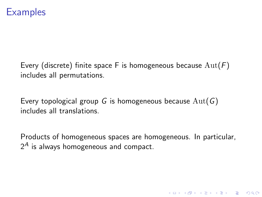### **Examples**

Every (discrete) finite space F is homogeneous because  $Aut(F)$ includes all permutations.

Every topological group G is homogeneous because  $Aut(G)$ includes all translations.

Products of homogeneous spaces are homogeneous. In particular,  $2^A$  is always homogeneous and compact.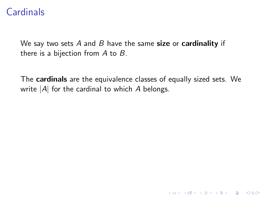### **Cardinals**

We say two sets A and B have the same size or cardinality if there is a bijection from  $A$  to  $B$ .

The cardinals are the equivalence classes of equally sized sets. We write  $|A|$  for the cardinal to which  $A$  belongs.

K ロ ▶ K @ ▶ K 할 > K 할 > 1 할 > 1 이익어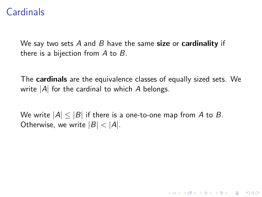## **Cardinals**

We say two sets  $A$  and  $B$  have the same size or cardinality if there is a bijection from  $A$  to  $B$ .

The cardinals are the equivalence classes of equally sized sets. We write  $|A|$  for the cardinal to which  $A$  belongs.

K ロ ▶ K @ ▶ K 할 > K 할 > 1 할 > 1 이익어

We write  $|A| \leq |B|$  if there is a one-to-one map from A to B. Otherwise, we write  $|B| < |A|$ .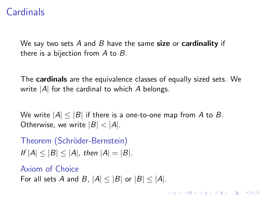## **Cardinals**

We say two sets A and B have the same size or cardinality if there is a bijection from  $A$  to  $B$ .

The cardinals are the equivalence classes of equally sized sets. We write  $|A|$  for the cardinal to which A belongs.

**KORKAR KERKER E VOOR** 

We write  $|A| \leq |B|$  if there is a one-to-one map from A to B. Otherwise, we write  $|B| < |A|$ .

Theorem (Schröder-Bernstein) If  $|A| < |B| < |A|$ , then  $|A| = |B|$ .

Axiom of Choice For all sets A and B,  $|A| \leq |B|$  or  $|B| \leq |A|$ .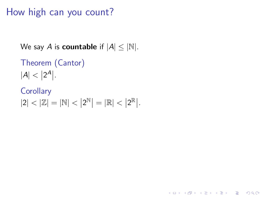# How high can you count?

```
We say A is countable if |A| \leq |\mathbb{N}|.
```

```
Theorem (Cantor)
|A| < |2^A|.
```
**Corollary**  $|2| < |\mathbb{Z}| = |\mathbb{N}| < |2^{\mathbb{N}}| = |\mathbb{R}| < |2^{\mathbb{R}}|.$ 

**KORK STRAIN A BAR SHOP**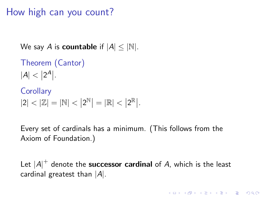# How high can you count?

```
We say A is countable if |A| < |\mathbb{N}|.
```

```
Theorem (Cantor)
|A| < |2^A|.
```

```
Corollary
|2| < |\mathbb{Z}| = |\mathbb{N}| < |2^{\mathbb{N}}| = |\mathbb{R}| < |2^{\mathbb{R}}|.
```
Every set of cardinals has a minimum. (This follows from the Axiom of Foundation.)

Let  $\left|A\right|^+$  denote the **successor cardinal** of  $A$ , which is the least cardinal greatest than  $|A|$ .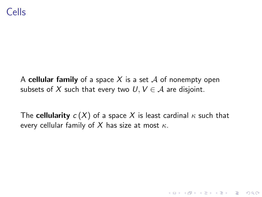A cellular family of a space X is a set  $\mathcal A$  of nonempty open subsets of X such that every two  $U, V \in \mathcal{A}$  are disjoint.

The cellularity  $c(X)$  of a space X is least cardinal  $\kappa$  such that every cellular family of X has size at most  $\kappa$ .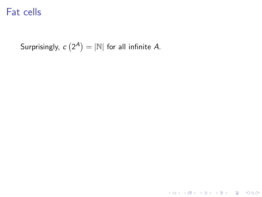Surprisingly,  $c\left(2^{A}\right)=\left|\mathbb{N}\right|$  for all infinite A.

**K ロ ▶ K 레 ▶ K 로 ▶ K 로 ▶ - 로 - K 이 이 이 이**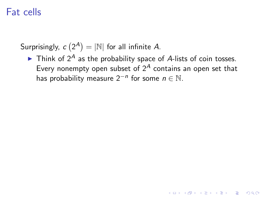Surprisingly,  $c\left(2^{A}\right)=\left|\mathbb{N}\right|$  for all infinite A.

 $\blacktriangleright$  Think of 2<sup>A</sup> as the probability space of A-lists of coin tosses. Every nonempty open subset of  $2^A$  contains an open set that has probability measure  $2^{-n}$  for some  $n \in \mathbb{N}$ .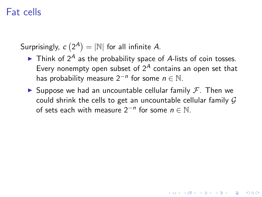Surprisingly,  $c\left(2^{A}\right)=\left|\mathbb{N}\right|$  for all infinite A.

- $\blacktriangleright$  Think of 2<sup>A</sup> as the probability space of A-lists of coin tosses. Every nonempty open subset of  $2^A$  contains an open set that has probability measure  $2^{-n}$  for some  $n \in \mathbb{N}$ .
- $\blacktriangleright$  Suppose we had an uncountable cellular family  $\mathcal{F}$ . Then we could shrink the cells to get an uncountable cellular family  $G$ of sets each with measure  $2^{-n}$  for some  $n \in \mathbb{N}$ .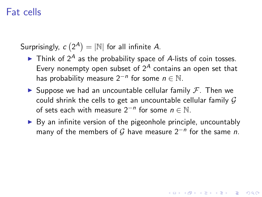Surprisingly,  $c\left(2^{A}\right)=\left|\mathbb{N}\right|$  for all infinite A.

- $\blacktriangleright$  Think of 2<sup>A</sup> as the probability space of A-lists of coin tosses. Every nonempty open subset of  $2^A$  contains an open set that has probability measure  $2^{-n}$  for some  $n \in \mathbb{N}$ .
- $\blacktriangleright$  Suppose we had an uncountable cellular family  $\mathcal{F}$ . Then we could shrink the cells to get an uncountable cellular family  $G$ of sets each with measure  $2^{-n}$  for some  $n \in \mathbb{N}$ .
- $\triangleright$  By an infinite version of the pigeonhole principle, uncountably many of the members of  $G$  have measure  $2^{-n}$  for the same n.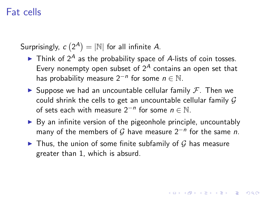Surprisingly,  $c\left(2^{A}\right)=\left|\mathbb{N}\right|$  for all infinite A.

- $\blacktriangleright$  Think of 2<sup>A</sup> as the probability space of A-lists of coin tosses. Every nonempty open subset of  $2^A$  contains an open set that has probability measure  $2^{-n}$  for some  $n \in \mathbb{N}$ .
- $\blacktriangleright$  Suppose we had an uncountable cellular family  $\mathcal{F}$ . Then we could shrink the cells to get an uncountable cellular family  $G$ of sets each with measure  $2^{-n}$  for some  $n \in \mathbb{N}$ .
- $\triangleright$  By an infinite version of the pigeonhole principle, uncountably many of the members of  $G$  have measure  $2^{-n}$  for the same n.

4 D > 4 P + 4 B + 4 B + B + 9 Q O

In Thus, the union of some finite subfamily of G has measure greater than 1, which is absurd.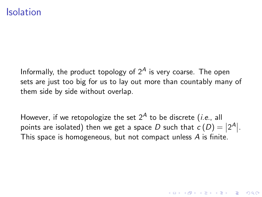#### Isolation

Informally, the product topology of  $2<sup>A</sup>$  is very coarse. The open sets are just too big for us to lay out more than countably many of them side by side without overlap.

However, if we retopologize the set  $2^A$  to be discrete (*i.e.*, all points are isolated) then we get a space  $D$  such that  $c(D) = |2^A|.$ This space is homogeneous, but not compact unless A is finite.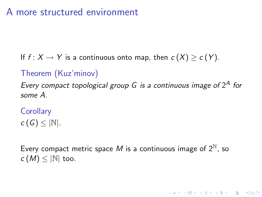### A more structured environment

If  $f: X \to Y$  is a continuous onto map, then  $c(X) > c(Y)$ .

### Theorem (Kuz'minov)

Every compact topological group  $G$  is a continuous image of  $2^A$  for some A.

**Corollary**  $c(G) < |N|$ .

Every compact metric space M is a continuous image of  $2^{\mathbb{N}}$ , so  $c(M) \leq |N|$  too.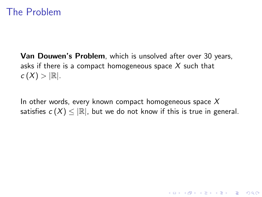### The Problem

Van Douwen's Problem, which is unsolved after over 30 years, asks if there is a compact homogeneous space  $X$  such that  $c(X) > |\mathbb{R}|.$ 

In other words, every known compact homogeneous space  $X$ satisfies  $c(X) \leq |\mathbb{R}|$ , but we do not know if this is true in general.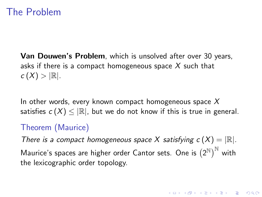### The Problem

Van Douwen's Problem, which is unsolved after over 30 years, asks if there is a compact homogeneous space  $X$  such that  $c(X) > |\mathbb{R}|.$ 

In other words, every known compact homogeneous space  $X$ satisfies  $c(X) \leq |\mathbb{R}|$ , but we do not know if this is true in general.

#### Theorem (Maurice)

There is a compact homogeneous space X satisfying  $c(X) = |\mathbb{R}|$ . Maurice's spaces are higher order Cantor sets. One is  $\left(2^{\mathbb{N}}\right)^{\mathbb{N}}$  with the lexicographic order topology.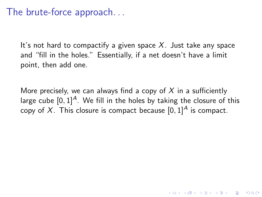### The brute-force approach. . .

It's not hard to compactify a given space  $X$ . Just take any space and "fill in the holes." Essentially, if a net doesn't have a limit point, then add one.

More precisely, we can always find a copy of X in a sufficiently large cube  $[0, 1]^A$ . We fill in the holes by taking the closure of this copy of X. This closure is compact because  $[0, 1]^A$  is compact.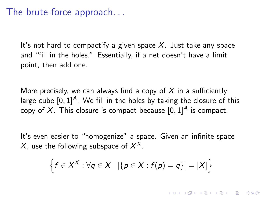### The brute-force approach. . .

It's not hard to compactify a given space  $X$ . Just take any space and "fill in the holes." Essentially, if a net doesn't have a limit point, then add one.

More precisely, we can always find a copy of X in a sufficiently large cube  $[0, 1]^A$ . We fill in the holes by taking the closure of this copy of X. This closure is compact because  $[0, 1]^A$  is compact.

It's even easier to "homogenize" a space. Given an infinite space X, use the following subspace of  $X^X$ .

$$
\left\{f\in X^X:\forall q\in X\ \left|\{p\in X:f(p)=q\}\right| = |X|\right\}
$$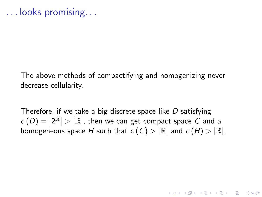The above methods of compactifying and homogenizing never decrease cellularity.

Therefore, if we take a big discrete space like  $D$  satisfying  $c(D) = |2^{\mathbb{R}}| > |\mathbb{R}|$ , then we can get compact space C and a homogeneous space H such that  $c(C) > |\mathbb{R}|$  and  $c(H) > |\mathbb{R}|$ .

4 D > 4 P + 4 B + 4 B + B + 9 Q O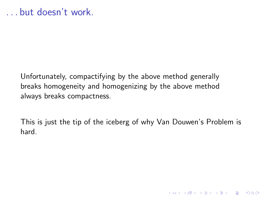Unfortunately, compactifying by the above method generally breaks homogeneity and homogenizing by the above method always breaks compactness.

This is just the tip of the iceberg of why Van Douwen's Problem is hard.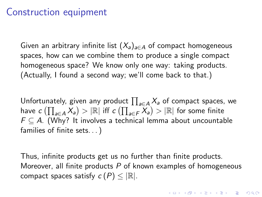### Construction equipment

Given an arbitrary infinite list  $(X_a)_{a \in A}$  of compact homogeneous spaces, how can we combine them to produce a single compact homogeneous space? We know only one way: taking products. (Actually, I found a second way; we'll come back to that.)

Unfortunately, given any product  $\prod_{a \in A} X_a$  of compact spaces, we have  $c\left(\prod_{a\in A}X_{a}\right)>\left|\mathbb{R}\right|$  iff  $c\left(\prod_{a\in F}\widetilde{X}_{a}\right)>\left|\mathbb{R}\right|$  for some finite  $F \subseteq A$ . (Why? It involves a technical lemma about uncountable families of finite sets. . . )

Thus, infinite products get us no further than finite products. Moreover, all finite products  $P$  of known examples of homogeneous compact spaces satisfy  $c(P) \leq |\mathbb{R}|$ .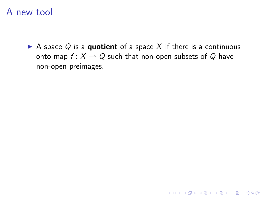A space  $Q$  is a quotient of a space X if there is a continuous onto map  $f: X \to Q$  such that non-open subsets of Q have non-open preimages.

K ロ ▶ K @ ▶ K 할 > K 할 > 1 할 > 1 이익어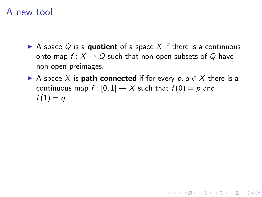- A space Q is a quotient of a space X if there is a continuous onto map  $f: X \to Q$  such that non-open subsets of Q have non-open preimages.
- A space X is **path connected** if for every  $p, q \in X$  there is a continuous map  $f : [0,1] \to X$  such that  $f(0) = p$  and  $f(1) = q$ .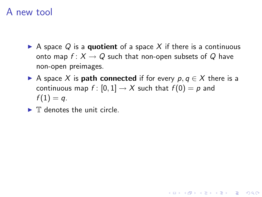- A space Q is a quotient of a space X if there is a continuous onto map  $f: X \to Q$  such that non-open subsets of Q have non-open preimages.
- A space X is **path connected** if for every  $p, q \in X$  there is a continuous map  $f : [0,1] \to X$  such that  $f(0) = p$  and  $f(1) = q$ .

**KORK ERKER ADE YOUR** 

 $\blacktriangleright$  T denotes the unit circle.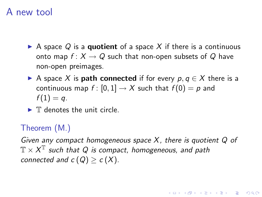- A space Q is a quotient of a space X if there is a continuous onto map  $f: X \to Q$  such that non-open subsets of Q have non-open preimages.
- A space X is **path connected** if for every  $p, q \in X$  there is a continuous map  $f : [0,1] \to X$  such that  $f(0) = p$  and  $f(1) = q$ .
- $\blacktriangleright$  T denotes the unit circle.

#### Theorem (M.)

Given any compact homogeneous space  $X$ , there is quotient  $Q$  of  $\mathbb{T} \times X^{\mathbb{T}}$  such that Q is compact, homogeneous, and path connected and  $c(Q) > c(X)$ .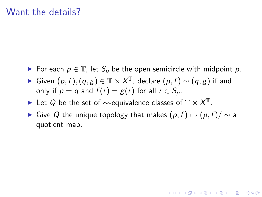#### Want the details?

- ► For each  $p \in \mathbb{T}$ , let  $S_p$  be the open semicircle with midpoint p.
- ► Given  $(p, f), (q, g) \in \mathbb{T} \times X^{\mathbb{T}}$ , declare  $(p, f) \sim (q, g)$  if and only if  $p = q$  and  $f(r) = g(r)$  for all  $r \in S_p$ .
- ► Let Q be the set of  $\sim$ -equivalence classes of  $\mathbb{T} \times X^{\mathbb{T}}$ .
- ► Give Q the unique topology that makes  $(p, f) \mapsto (p, f) / \sim a$ quotient map.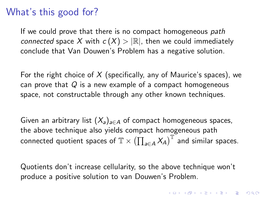### What's this good for?

If we could prove that there is no compact homogeneous path connected space X with  $c(X) > |\mathbb{R}|$ , then we could immediately conclude that Van Douwen's Problem has a negative solution.

For the right choice of  $X$  (specifically, any of Maurice's spaces), we can prove that  $Q$  is a new example of a compact homogeneous space, not constructable through any other known techniques.

Given an arbitrary list  $(X_a)_{a \in A}$  of compact homogeneous spaces, the above technique also yields compact homogeneous path connected quotient spaces of  $\mathbb{T} \times (\prod_{a \in A} X_A)^{\mathbb{T}}$  and similar spaces.

Quotients don't increase cellularity, so the above technique won't produce a positive solution to van Douwen's Problem.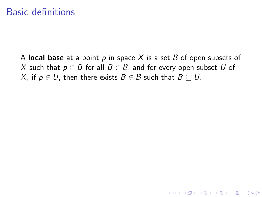### Basic definitions

A local base at a point p in space X is a set B of open subsets of X such that  $p \in B$  for all  $B \in B$ , and for every open subset U of X, if  $p \in U$ , then there exists  $B \in \mathcal{B}$  such that  $B \subset U$ .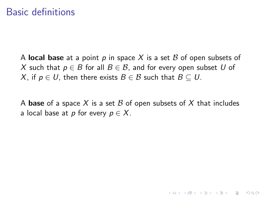### Basic definitions

A local base at a point p in space X is a set B of open subsets of X such that  $p \in B$  for all  $B \in \mathcal{B}$ , and for every open subset U of X, if  $p \in U$ , then there exists  $B \in \mathcal{B}$  such that  $B \subseteq U$ .

A base of a space X is a set B of open subsets of X that includes a local base at p for every  $p \in X$ .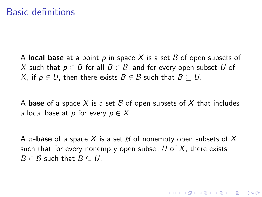A local base at a point p in space X is a set B of open subsets of X such that  $p \in B$  for all  $B \in \mathcal{B}$ , and for every open subset U of X, if  $p \in U$ , then there exists  $B \in \mathcal{B}$  such that  $B \subseteq U$ .

A base of a space X is a set B of open subsets of X that includes a local base at p for every  $p \in X$ .

A  $\pi$ -base of a space X is a set B of nonempty open subsets of X such that for every nonempty open subset U of X, there exists  $B \in \mathcal{B}$  such that  $B \subset U$ .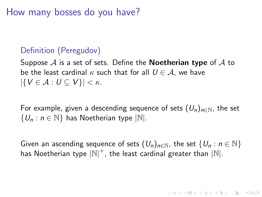How many bosses do you have?

#### Definition (Peregudov)

Suppose  $A$  is a set of sets. Define the **Noetherian type** of  $A$  to be the least cardinal  $\kappa$  such that for all  $U \in \mathcal{A}$ , we have  $|\{V \in \mathcal{A} : U \subseteq V\}| < \kappa$ .

For example, given a descending sequence of sets  $(U_n)_{n\in\mathbb{N}}$ , the set  $\{U_n : n \in \mathbb{N}\}\)$  has Noetherian type  $|\mathbb{N}|$ .

Given an ascending sequence of sets  $(U_n)_{n\in\mathbb{N}}$ , the set  $\{U_n : n \in \mathbb{N}\}\$ has Noetherian type  $|\mathbb{N}|^+$ , the least cardinal greater than  $|\mathbb{N}|$ .

**AD A 4 4 4 5 A 5 A 5 A 4 D A 4 D A 4 PM**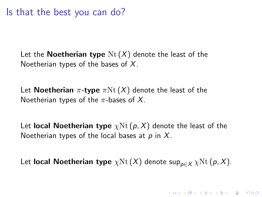Let the **Noetherian type**  $Nt(X)$  denote the least of the Noetherian types of the bases of  $X$ .

Let **Noetherian**  $\pi$ -type  $\pi$ Nt  $(X)$  denote the least of the Noetherian types of the  $\pi$ -bases of X.

Let local Noetherian type  $\chi$ Nt $(p, X)$  denote the least of the Noetherian types of the local bases at  $p$  in  $X$ .

Let local Noetherian type  $\chi \text{Nt}(X)$  denote sup<sub>p∈X</sub>  $\chi \text{Nt}(p, X)$ .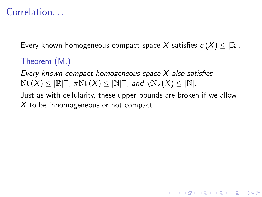# Correlation.

Every known homogeneous compact space X satisfies  $c(X) \leq |\mathbb{R}|$ .

#### Theorem (M.)

Every known compact homogeneous space X also satisfies  $\mathrm{Nt}\left( X \right)\le |\mathbb{R}|^+$  ,  $\pi\mathrm{Nt}\left( X \right)\le |\mathbb{N}|^+$  , and  $\chi\mathrm{Nt}\left( X \right)\le |\mathbb{N}|.$ 

Just as with cellularity, these upper bounds are broken if we allow  $X$  to be inhomogeneous or not compact.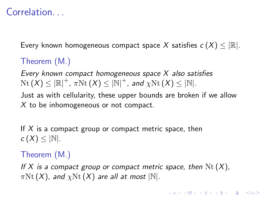# Correlation...

Every known homogeneous compact space X satisfies  $c(X) \leq |\mathbb{R}|$ .

#### Theorem (M.)

Every known compact homogeneous space X also satisfies  $\mathrm{Nt}\left( X \right)\le |\mathbb{R}|^+$  ,  $\pi\mathrm{Nt}\left( X \right)\le |\mathbb{N}|^+$  , and  $\chi\mathrm{Nt}\left( X \right)\le |\mathbb{N}|.$ 

Just as with cellularity, these upper bounds are broken if we allow  $X$  to be inhomogeneous or not compact.

If  $X$  is a compact group or compact metric space, then  $c(X) \leq |\mathbb{N}|.$ 

#### Theorem (M.)

If X is a compact group or compact metric space, then  $N_{t}(X)$ ,  $\pi$ Nt (X), and  $\chi$ Nt (X) are all at most  $|\mathbb{N}|$ .

4 D > 4 P + 4 B + 4 B + B + 9 Q O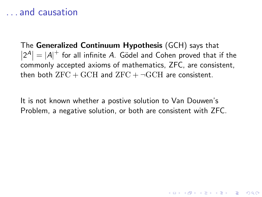#### . . . and causation

The Generalized Continuum Hypothesis (GCH) says that  $|2^A| = |A|^+$  for all infinite A. Gödel and Cohen proved that if the commonly accepted axioms of mathematics, ZFC, are consistent, then both  $ZFC + GCH$  and  $ZFC + \neg GCH$  are consistent.

It is not known whether a postive solution to Van Douwen's Problem, a negative solution, or both are consistent with ZFC.

4 D > 4 P + 4 B + 4 B + B + 9 Q O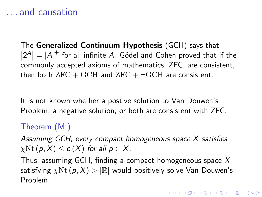### . . . and causation

The Generalized Continuum Hypothesis (GCH) says that  $|2^A| = |A|^+$  for all infinite A. Gödel and Cohen proved that if the commonly accepted axioms of mathematics, ZFC, are consistent, then both  $ZFC + GCH$  and  $ZFC + \neg GCH$  are consistent.

It is not known whether a postive solution to Van Douwen's Problem, a negative solution, or both are consistent with ZFC.

#### Theorem (M.)

Assuming GCH, every compact homogeneous space X satisfies  $\chi$ Nt (p, X)  $\leq c(X)$  for all  $p \in X$ .

Thus, assuming GCH, finding a compact homogeneous space  $X$ satisfying  $\chi \text{Nt}(p, X) > |\mathbb{R}|$  would positively solve Van Douwen's Problem.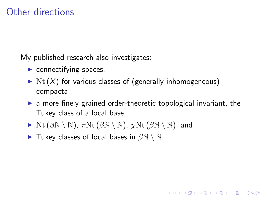### Other directions

My published research also investigates:

- $\blacktriangleright$  connectifying spaces,
- $\triangleright$  Nt  $(X)$  for various classes of (generally inhomogeneous) compacta,
- $\triangleright$  a more finely grained order-theoretic topological invariant, the Tukey class of a local base,

- $\triangleright$  Nt ( $\beta$ N \ N),  $\pi$ Nt ( $\beta$ N \ N),  $\chi$ Nt ( $\beta$ N \ N), and
- $\triangleright$  Tukey classes of local bases in  $\beta\mathbb{N} \setminus \mathbb{N}$ .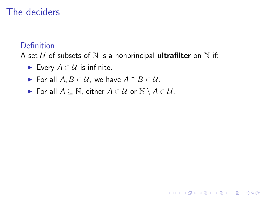### The deciders

#### Definition

A set U of subsets of N is a nonprincipal **ultrafilter** on N if:

K ロ ▶ K @ ▶ K 할 > K 할 > 1 할 > 1 이익어

- Every  $A \in \mathcal{U}$  is infinite.
- For all  $A, B \in \mathcal{U}$ , we have  $A \cap B \in \mathcal{U}$ .
- For all  $A \subseteq \mathbb{N}$ , either  $A \in \mathcal{U}$  or  $\mathbb{N} \setminus A \in \mathcal{U}$ .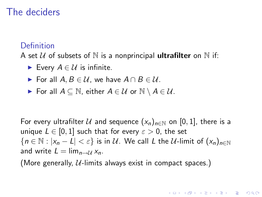### The deciders

#### Definition

A set U of subsets of N is a nonprincipal **ultrafilter** on N if:

- Every  $A \in \mathcal{U}$  is infinite.
- For all  $A, B \in \mathcal{U}$ , we have  $A \cap B \in \mathcal{U}$ .
- For all  $A \subseteq \mathbb{N}$ , either  $A \in \mathcal{U}$  or  $\mathbb{N} \setminus A \in \mathcal{U}$ .

For every ultrafilter U and sequence  $(x_n)_{n\in\mathbb{N}}$  on [0, 1], there is a unique  $L \in [0, 1]$  such that for every  $\varepsilon > 0$ , the set  ${n \in \mathbb{N} : |x_n - L| < \varepsilon}$  is in U. We call L the U-limit of  $(x_n)_{n \in \mathbb{N}}$ and write  $L = \lim_{n \to \mathcal{U}} x_n$ .

**K ロ ▶ K @ ▶ K 할 X X 할 X 및 할 X X Q Q O** 

(More generally,  $U$ -limits always exist in compact spaces.)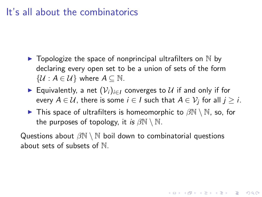#### It's all about the combinatorics

- $\blacktriangleright$  Topologize the space of nonprincipal ultrafilters on  $\mathbb N$  by declaring every open set to be a union of sets of the form  $\{\mathcal{U}: A \in \mathcal{U}\}\$  where  $A \subseteq \mathbb{N}$ .
- ► Equivalently, a net  $(\mathcal{V}_i)_{i\in I}$  converges to  $\mathcal U$  if and only if for every  $A \in \mathcal{U}$ , there is some  $i \in I$  such that  $A \in \mathcal{V}_j$  for all  $j \geq i.$
- $\blacktriangleright$  This space of ultrafilters is homeomorphic to  $\beta\mathbb{N}\setminus\mathbb{N}$ , so, for the purposes of topology, it is  $\beta \mathbb{N} \setminus \mathbb{N}$ .

**KORKAR KERKER E VOOR** 

Questions about  $\beta\mathbb{N} \setminus \mathbb{N}$  boil down to combinatorial questions about sets of subsets of N.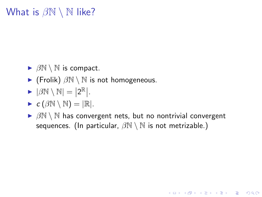# What is  $\beta N \setminus N$  like?

- $\triangleright$   $\beta \mathbb{N} \setminus \mathbb{N}$  is compact.
- $\blacktriangleright$  (Frolik)  $\beta \mathbb{N} \setminus \mathbb{N}$  is not homogeneous.
- $\blacktriangleright$   $|\beta N \setminus N| = |2^{\mathbb{R}}|.$

$$
\blacktriangleright c(\beta\mathbb{N}\setminus\mathbb{N})=|\mathbb{R}|.
$$

 $\triangleright$   $\beta\mathbb{N} \setminus \mathbb{N}$  has convergent nets, but no nontrivial convergent sequences. (In particular,  $\beta \mathbb{N} \setminus \mathbb{N}$  is not metrizable.)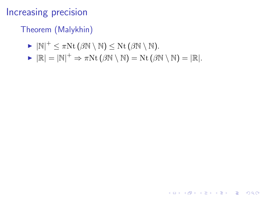### Increasing precision

### Theorem (Malykhin)

- $\blacktriangleright |\mathbb{N}|^+ \leq \pi \mathrm{Nt} (\beta \mathbb{N} \setminus \mathbb{N}) \leq \mathrm{Nt} (\beta \mathbb{N} \setminus \mathbb{N}).$
- $\blacktriangleright |\mathbb{R}| = |\mathbb{N}|^+ \Rightarrow \pi \text{Nt} (\beta \mathbb{N} \setminus \mathbb{N}) = \text{Nt} (\beta \mathbb{N} \setminus \mathbb{N}) = |\mathbb{R}|.$

**KORK STRATER STRAKER**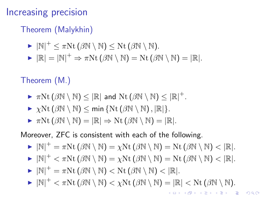### Increasing precision

#### Theorem (Malykhin)

$$
\blacktriangleright |\mathbb{N}|^+ \leq \pi \mathrm{Nt} \left( \beta \mathbb{N} \setminus \mathbb{N} \right) \leq \mathrm{Nt} \left( \beta \mathbb{N} \setminus \mathbb{N} \right).
$$

$$
\blacktriangleright |\mathbb{R}| = |\mathbb{N}|^+ \Rightarrow \pi N t (\beta \mathbb{N} \setminus \mathbb{N}) = N t (\beta \mathbb{N} \setminus \mathbb{N}) = |\mathbb{R}|.
$$

#### Theorem (M.)

- $\blacktriangleright \pi \mathrm{Nt} \left( \beta \mathbb{N} \setminus \mathbb{N} \right) \leq \left| \mathbb{R} \right|$  and  $\mathrm{Nt} \left( \beta \mathbb{N} \setminus \mathbb{N} \right) \leq \left| \mathbb{R} \right|^{+}.$
- $\triangleright \ \gamma \text{Nt}(\beta \mathbb{N} \setminus \mathbb{N}) \le \min \{ \text{Nt}(\beta \mathbb{N} \setminus \mathbb{N}), |\mathbb{R}| \}.$
- $\triangleright \pi Nt(\beta N \setminus N) = |\mathbb{R}| \Rightarrow Nt(\beta N \setminus N) = |\mathbb{R}|.$

Moreover, ZFC is consistent with each of the following.

$$
\blacktriangleright |\mathbb{N}|^+=\pi \mathrm{Nt} \left(\beta \mathbb{N} \setminus \mathbb{N}\right)=\chi \mathrm{Nt} \left(\beta \mathbb{N} \setminus \mathbb{N}\right)=\mathrm{Nt} \left(\beta \mathbb{N} \setminus \mathbb{N}\right)<|\mathbb{R}|.
$$

$$
\blacktriangleright |\mathbb{N}|^+ < \pi \mathrm{Nt} \left( \beta \mathbb{N} \setminus \mathbb{N} \right) = \chi \mathrm{Nt} \left( \beta \mathbb{N} \setminus \mathbb{N} \right) = \mathrm{Nt} \left( \beta \mathbb{N} \setminus \mathbb{N} \right) < |\mathbb{R}|.
$$

- $\blacktriangleright |\mathbb{N}|^+ = \pi \text{Nt} (\beta \mathbb{N} \setminus \mathbb{N}) < \text{Nt} (\beta \mathbb{N} \setminus \mathbb{N}) < |\mathbb{R}|.$
- $\blacktriangleright |\mathbb{N}|^+ < \pi \text{Nt} (\beta \mathbb{N} \setminus \mathbb{N}) < \chi \text{Nt} (\beta \mathbb{N} \setminus \mathbb{N}) = |\mathbb{R}| < \text{Nt} (\beta \mathbb{N} \setminus \mathbb{N}).$ 4 D > 4 P + 4 B + 4 B + B + 9 Q O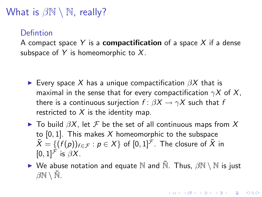# What is  $\beta \mathbb{N} \setminus \mathbb{N}$ , really?

#### Defintion

A compact space Y is a **compactification** of a space X if a dense subspace of Y is homeomorphic to  $X$ .

- Every space X has a unique compactification  $\beta X$  that is maximal in the sense that for every compactification  $\gamma X$  of X, there is a continuous surjection  $f: \beta X \rightarrow \gamma X$  such that f restricted to  $X$  is the identity map.
- $\blacktriangleright$  To build  $\beta X$ , let  $\mathcal F$  be the set of all continuous maps from  $X$ to  $[0, 1]$ . This makes X homeomorphic to the subspace  $\tilde{X} = \{ (f(p))_{f \in \mathcal{F}} : p \in X \}$  of  $[0,1]^{\mathcal{F}}$ . The closure of  $\tilde{X}$  in  $[0, 1]^{\mathcal{F}}$  is  $\beta X$ .

 $\triangleright$  We abuse notation and equate N and  $\tilde{N}$ . Thus,  $\beta N \setminus N$  is just  $\beta \mathbb{N} \setminus \mathbb{N}$ .